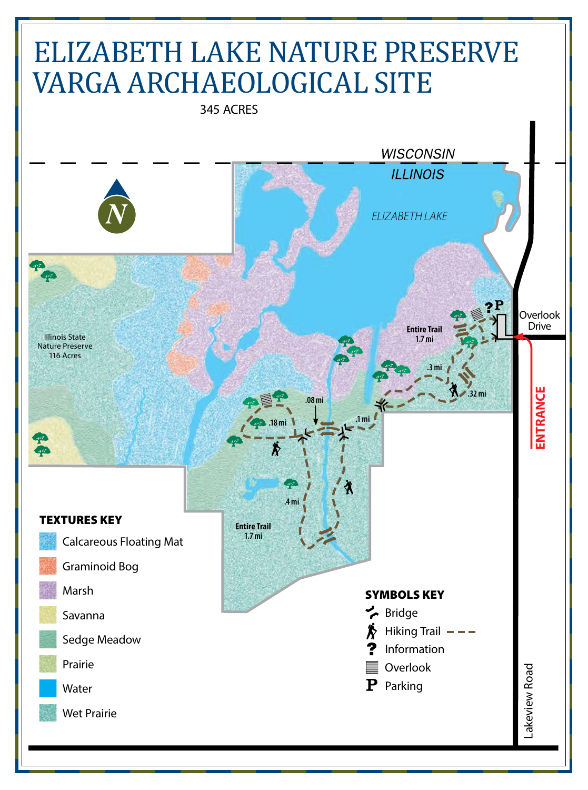